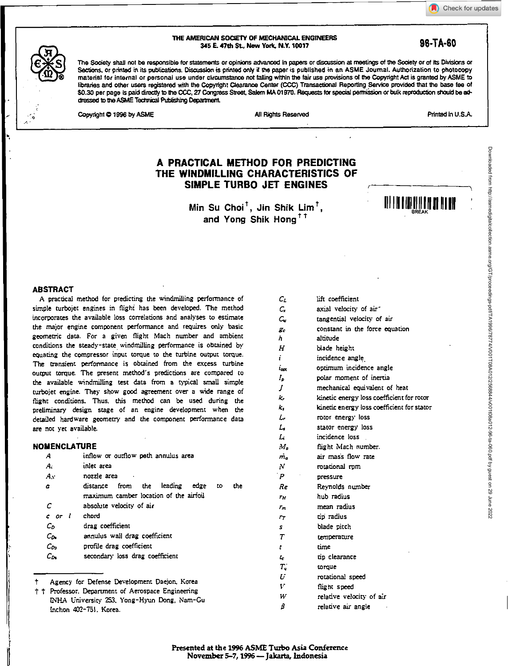Check for updates

#### **THE AMERICAN SOCIETY OF MECHANICAL ENGINEERS 345 E. 47th St, New York, N.Y. 10017** *98-TA-60* **<b>98-TA-60**



The Society shall not be responsible for statements or opinions advanced in papers or discussion at meetings of the Society or of Its Divisions or Sections, or printed in its publications. Discussion is printed only if the paper is published in an ASME Journal. Authorization to photocopy material for internal or personal use under circumstance not falling within the fair use provisions of the Copyright Act is granted by ASME to libraries and other users registered with the Copyright Clearance Center (CCC) Transactional Reporting Service provided that the base fee of \$0.30 per page is paid directly to the CCC, 27 Congress Street, Salem MA 01970. Requests for special permission or bulk reproduction should be addressed to the ASME Technical Publishing Department

Copyright **0 1996** by ASME **All Rights Reserved** All Rights Reserved **Printed in U.S.A.** 

# **A PRACTICAL METHOD FOR PREDICTING THE WINDMILLING CHARACTERISTICS OF SIMPLE TURBO JET ENGINES**

Min Su Choi<sup>†</sup>, Jin Shik Lim<sup>†</sup>, and Yong Shik Hong<sup>††</sup>



#### **ABSTRACT**

A practical method for predicting the windmilling performance of simple turbojet engines in flight has been developed. The method incorporates the available loss correlations and analyses to estimate the major engine component performance and requires only basic geometric data. For a given flight Mach number and ambient conditions the steady-state windmilling performance is obtained by equating the compressor input torque to the turbine output torque. The transient performance is obtained from the excess turbine output torque. The present method's predictions are compared **to**  the available windmilling test data from a typical small simple turbojet engine. They show good agreement over a wide range of flight conditions. Thus, this method can be used during the preliminary design stage of an engine development when the detailed hardware geometry and the component performance data are not yet available.

#### **NOMENCLATURE**

| А                 | inflow or outflow peth annulus area                                                          |
|-------------------|----------------------------------------------------------------------------------------------|
| Ai                | inlet area                                                                                   |
| $A_{\mathcal{N}}$ | nozzle area                                                                                  |
| α                 | from the leading<br>edge<br>the<br>distance<br>to.<br>maximum camber location of the airfoil |
| С                 | absolute velocity of air                                                                     |
| c or l            | chord                                                                                        |
| Co.               | drag coefficient                                                                             |
| $c_{\alpha}$      | annulus wall drag coefficient                                                                |
| $C_{2x}$          | profile drag coefficient                                                                     |
| Cд.               | secondary loss drag coefficient                                                              |
|                   | Agency for Defense Development Daejon, Korea                                                 |

```
t t Professor. Department of Aerospace Engineering 
    INHA University 253, Yong-Hyun Dong, Nam-Gu
    Inchon 402-751, Korea.
```

| Сı             | lift coefficient                           |
|----------------|--------------------------------------------|
| C,             | axial velocity of air"                     |
| $C_{\rm r}$    | tangential velocity of air                 |
| $E_{\rm c}$    | constant in the force equation             |
| h              | altitude                                   |
| н              | biade height                               |
| i.             | incidence angle                            |
| ίoα            | optimum incidence angle                    |
| Ip.            | polar moment of inertia                    |
| J              | mechanical equivalent of heat              |
| k,             | kinetic energy loss coefficient for rotor  |
| k.             | kinetic energy loss coefficient for stator |
| L.             | rotor energy loss                          |
| L              | stator energy loss                         |
| L.             | incidence loss                             |
| $M_a$          | flight Mach number.                        |
| $m_{\rm e}$    | air mass flow rate                         |
| N              | rotational rom                             |
| $\overline{P}$ | pressure                                   |
| Re             | Reynolds number                            |
| ΓH             | hub radius                                 |
| Гт             | mean radius                                |
| $r_{T}$        | tip radius                                 |
| 5.             | blade pitch                                |
| $\tau$         | temperature                                |
| t              | time                                       |
| ı.             | tip clearance                              |
| $T_{q}$        | torque                                     |
| U              | rotational speed                           |
| ţċ,            | flight speed                               |
| W              | relative velocity of air                   |
| β              | relative air angle                         |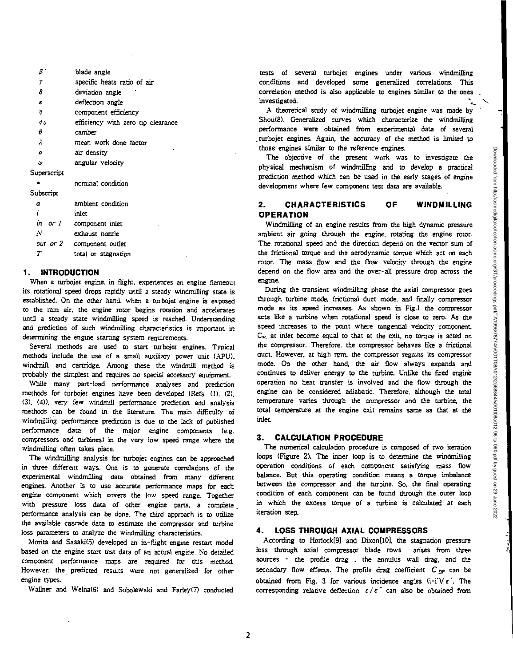Downloaded from http://asmedigitalcollection.asme.org/GT/proceedings-pdf/TA1/9017874/Y001T08A012/2568844/v001t08a012-96-ta-060.pdf by guest on 29 June Downloaded from http://asmedigitalcollection.asme.org/GT/proceedings-pdf/TA1996/78774/V001T08A012/2568844/v001t08a012-96-ta-060.pdf by guest on 29 June 20222022

 $\beta$ blade angle 7 specific heats ratio of air *8* deviation angle ' ε deflection angle *<sup>27</sup>*component efficiency <sup>o</sup>efficiency with zero tip clearance θ camber  $\lambda$ mean work done factor ρ air density *(A)* angular velocity Superscript • nominal condition Subscript a ambient condition i inlet *in or I* component inlet  $\boldsymbol{N}$ exhaust nozzle *our or 2* component outlet

total or stagnation

### **1. INTRODUCTION**

 $\boldsymbol{T}$ 

When a turbojet engine, in flight, experiences an engine flameout its rotational speed drops rapidly until a steady windmilling state is established. On the other hand, when a turbojet engine is exposed to the ram air, the engine rotor begins rotation and accelerates until a steady state windmilling speed is reached. Understanding and prediction of such windmilling characteristics is important in determining the engine starting system requirements.

Several methods are used to start turbojet engines. Typical methods include the use of a small auxiliary power unit (APU). windmill, and cartridge. Among these the windmill method is Probably the simplest and requires no special accessory equipment.

While many part-load performance analyses and prediction methods for turbojet engines have been developed (Refs. (1). (2), (3). (4)), very *few* windmill performance prediction and analysis methods can be found in the literature. The main difficulty of windmilling performance prediction is due to the lack of published performance data of the major engine components (e.g. compressors and turbines) in the very low speed range where the windmilling often takes place.

The windmilling analysis for turbojet engines can be approached in three different ways. One is to generate correlations of the experimental windmilling data obtained from many different engines. Another is to use accurate performance maps for each engine component which covers the low speed range. Together with pressure loss data of other engine parts, a complete performance analysis can be done. The third approach is to utilize the available cascade data to estimate the compressor and turbine loss parameters to analyze the windmilling characteristics.

Morita and Sasaki(5) developed an in-flight engine restart model based on the engine start test data of an actual engine. No detailed component performance maps *are* required for this method. However, the predicted results were not generalized for other engine types.

Wallner and Welna(6) and Sobolewski and Farley(7) conducted

rests of several turbojet engines under various windmilling conditions and developed some generalized correlations. This correlation method is also applicable to engines similar to the ones investigated.

A theoretical study of windmilling turbojet engine was made by Shou(8). Generalized curves which characterize the windmilling performance were obtained from experimental data of several turbojet engines. Again, the accuracy of the method is limited to those engines similar to the reference engines.

The objective of the present work was to investigate the physical mechanism of windmilling and to develop a practical prediction method which can be used in the early stages of engine development where few component test data are available.

## **2. CHARACTERISTICS OF WINDMILLING OPERATION**

Windmilling of an engine results from the high dynamic pressure ambient air going through the engine, rotating the engine rotor. The rotational speed and the direction depend on the vector sum of the frictional torque and the aerodynamic torque which act on each rotor. The mass flow and the flow velocity through the engine depend on the flow area and the over-all pressure drop across the engine.

During the transient windmilling phase the axial compressor goes through turbine mode, frictional duct mode, and finally compressor mode as its speed increases. As shown in Fig.1 the compressor acts like a turbine when rotational speed is close to zero. As the speed increases to the point where tangential velocity component.  $C_w$  at inlet become equal to that at the exit, no torque is acted on the compressor. Therefore, the .compressor behaves like a frictional duct. However, at high rpm. the compressor regains its compressor mode. On the other hand, the air flow always expands and continues to deliver energy to the turbine. Unlike the fired engine operation no heat transfer is involved and the flow through the engine can be considered adiabatic. Therefore, although the total temperature varies through the compressor and the turbine, the total temperature at the engine exit remains same as that at the inlet\_

## **3. CALCULATION PROCEDURE**

The numerical calculation procedure is composed of two iteration loops (Figure 2). The inner loop is to determine the windmilling operation conditions of each component satisfying mass flow balance. But this operating condition means a torque imbalance between the compressor and the turbine. So, the final operating condition of each component can be found through the outer loop in which the excess torque of a turbine is calculated at each iteration step.

## **4. LOSS THROUGH AXIAL COMPRESSORS**

According to Horiock[9] and Dixon[10), the stagnation pressure loss through axial compressor blade rows arises from three sources - the profile drag , the annulus wall drag, and the secondary flow effects. The profile drag coefficient  $C_{DP}$  can be obtained from Fig. 3 for various incidence angles  $(i-i)/\epsilon$ . The corresponding relative deflection *e / e'* can also be obtained from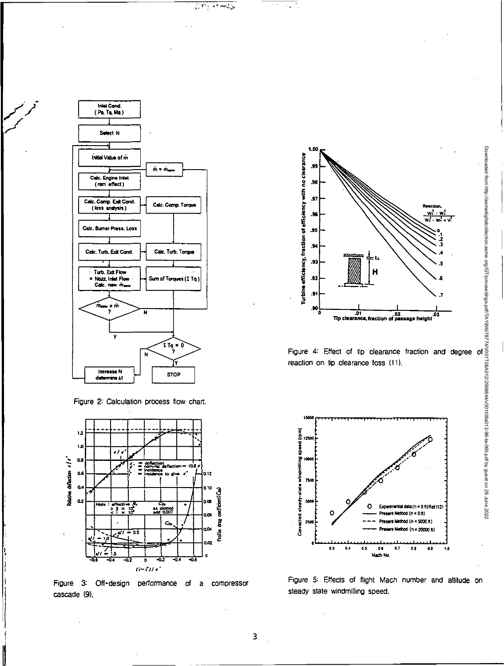

Figure 2: Calculation process flow chart.



Figure 3: Off-design performance of a compressor cascade (9).



 $\overline{\mathcal{A}(\mathcal{A})}$ 

 $\frac{1}{2}$  ,  $\frac{1}{2}$  ,  $\frac{1}{2}$  ,  $\frac{1}{2}$  , and simply  $\frac{1}{2}$ 

Figure 4: Effect of tip clearance fraction and degree of reaction on tip clearance loss (11).



Figure 5: Effects of flight Mach number and altitude on steady state windmilling speed.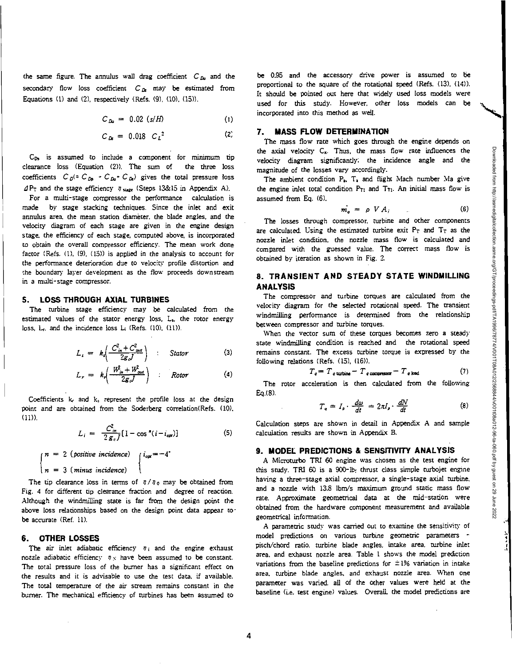Downloaded from http://asmedigitalcollection.asme.org/GT/proceedings-pdf/TA1996/78770011084012/2668844/v001108a012-96-a-060.pdf by guest on 29 June 2022 Downloaded from http://asmedigitalcollection.asme.org/GT/proceedings-pdf/TA1996/78774/V001T08A012/2568844/v001t08a012-96-ta-060.pdf by guest on 29 June 2022

Ns,

$$
C_{Da} = 0.02 \ (s/H) \tag{1}
$$

$$
C_{Ds} = 0.018 C_L^2
$$
 (2)

CD, is assumed to include a component for minimum tip clearance loss (Equation (2)). The sum of the three loss coefficients  $C_0$ (=  $C_{D_0}$  +  $C_{D_0}$ +  $C_{D_0}$ ) gives the total pressure loss PT and the stage efficiency **17 stage** (Steps 13&15 in Appendix A).

For a multi-stage compressor the performance calculation is made by stage stacking techniques. Since the inlet and exit annulus area, the mean station diameter, the blade angles, and the velocity diagram of each stage are given in the engine design stage, the efficiency of each stage, computed above, is incorporated to obtain the overall compressor efficiency. The mean work done factor (Refs. (1), (9), (15)) is applied in the analysis to account for the performance deterioration due to velocity profile distortion and the boundary layer development as the flow proceeds downstream in a multi-stage compressor.

#### **5. LOSS THROUGH AXIAL TURBINES**

The turbine stage efficiency may be calculated from the estimated values of the stator energy loss, L<sub>s</sub>, the rotor energy loss,  $L_r$ . and the incidence loss  $L_i$  (Refs. (10), (11)).

$$
L_{s} = k_{t} \left( \frac{C_{in}^{2} + C_{out}^{2}}{2g_{c}J} \right) : Stator
$$
 (3)

$$
L_r = k \left( \frac{W_{in}^2 + W_{out}^2}{2g} \right) \qquad \qquad Rotor \qquad (4)
$$

Coefficients  $k_f$  and  $k_s$  represent the profile loss at the design point and are obtained from the Soderberg correlation(Refs. (10), (11)).

$$
L_i = \frac{C_{in}^2}{2 g_c J} [1 - \cos^{\pi} (i - i_{opt})]
$$
 (5)

$$
\begin{cases}\nn = 2 \text{ (positive incidence)} \\
n = 3 \text{ (minus incidence)}\n\end{cases}\n\begin{cases}\ni_{\text{on}} = -4 \\
1\n\end{cases}
$$

The tip clearance loss in terms of  $\eta/\eta_0$  may be obtained from Fig. 4 for different tip clearance fraction and *degree* of reaction. Although the windmilling state is far from the design point the above loss relationships based on the design point data appear tobe accurate (Ref. 11).

#### **6. OTHER LOSSES**

The air inlet adiabatic efficiency  $\eta_i$  and the engine exhaust nozzle adiabatic efficiency  $\eta_N$  have been assumed to be constant. The total pressure loss of the burner has a significant effect on the results and it is advisable to use the test data, if available. The total temperature of the air stream remains constant in the burner. The mechanical efficiency of turbines has been assumed to

be 0.95 and the accessory drive power is assumed to be proportional to the square of the rotational speed (Refs. (13), (14)). It should be pointed out here that widely used loss models were used for *this* study. However, other loss models can be incorporated into this method as well.

#### **7. MASS FLOW DETERMINATION**

The mass flow rate which goes through the engine depends on the axial velocity  $C_x$ . Thus, the mass flow rate influences the velocity diagram significantly; the incidence angle and the magnitude of the losses vary accordingly.

The ambient condition P<sub>3</sub>. T<sub>2</sub> and flight Mach number Ma give the engine inlet total condition  $P_{T1}$  and  $T_{T1}$ . An initial mass flow is assumed from Eq. (6).

$$
m_q = \rho \, V \, A_i \tag{6}
$$

The losses through compressor, turbine and other components are calculated. Using the estimated turbine exit  $P_T$  and  $T_T$  as the nozzle inlet condition, the nozzle mass flow is calculated and compared with the guessed value. The correct mass flow is obtained by iteration as shown in Fig. 2.

## **8. TRANSIENT AND STEADY STATE WINDMILLING ANALYSIS**

The compressor and turbine torques are calculated from the velocity diagram for the selected rotational speed. The transient windmilling performance is determined from the relationship between compressor and turbine torques.

When the vector sum of these torques becomes zero a steady state windmilling condition is reached and the rotational speed remains constant. The excess turbine torque is expressed by the following relations (Refs. (15), (16)).

$$
T_q = T_{q \text{ turtine}} - T_{q \text{ compressed}} - T_{q \text{ lead}}
$$
 (7)

The rotor acceleration is then calculated from the following Eq.(8).

$$
T_{q} = I_{p} \cdot \frac{d\omega}{dt} = 2\pi I_{p} \cdot \frac{dN}{dt}
$$
 (8)

Calculation steps are shown in detail in Appendix A and sample calculation results are shown in Appendix B.

#### **9. MODEL PREDICTIONS & SENSITIVITY ANALYSIS**

A Microturbo TRI 60 engine was chosen as the test engine for this study. TRI 60 is a 900-lb. thrust class simple turbojet engine having a three-stage axial compressor, a single-stage axial turbine, and a nozzle with 13.8 Ibm/s maximum ground static mass flow rate. Approximate geometrical data at the mid-station were obtained from the hardware component measurement and available geometrical information.

A parametric study was carried out to examine the sensitivity of model predictions on various turbine geometric parameters pitch/chord ratio, turbine blade angles, intake area, turbine inlet area, and exhaust nozzle area. Table 1 shows the model prediction variations from the baseline predictions for  $\pm 1$ % variation in intake area, turbine blade angles, and exhaust nozzle area. When one parameter was varied, all of the other values were held at the baseline (i.e. test engine) values. Overall, the model predictions are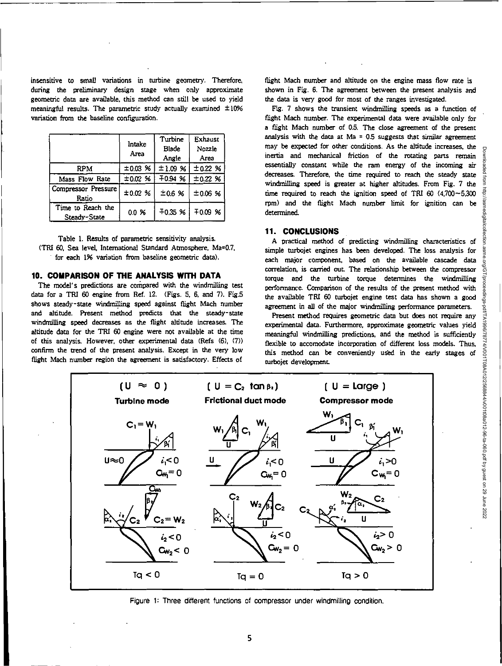insensitive to small variations in turbine geometry. Therefore, during the preliminary design stage when only approximate geometric data are available, this method can still be used to yield meaningful results. The parametric study actually examined  $\pm 10\%$ variation from the baseline configuration.

|                                   | Intake<br>Area | Turbine<br>Blade<br>Angle | Exhaust<br>Nozzle<br>Area |
|-----------------------------------|----------------|---------------------------|---------------------------|
| RPM                               | ±0.03%         | ±1.09%                    | ±0.22%                    |
| Mass Flow Rate                    | ±0.02%         | 70.94%                    | ±0.22%                    |
| Compressor Pressure<br>Ratio      | ±0.02%         | ±0.6%                     | ±0.06%                    |
| Time to Reach the<br>Steady-State | $0.0\,$ %      | $-0.35$ %                 | 70.09%                    |

Table 1. Results of parametric sensitivity analysis. (TRI 60, Sea level, International Standard Atmosphere, Ma=0.7, for each 1% variation from baseline geometric data).

### 10. COMPARISON OF THE ANALYSIS WITH DATA

The model's predictions are compared with the windmilling test data for a TRI 60 engine from Ref. 12. (Figs. 5, 6, and 7). Fig.5 shows steady-state windmilling speed against flight Mach number and altitude. Present method predicts that the steady-state windmilling speed decreases as the flight altitude increases. The altitude data for the TEl 60 engine were not available at the time of this analysis. However, other experimental data (Refs (6), (7)) confirm the trend of the present analysis. Except in the very low flight Mach number region the agreement is satisfactory. Effects of

flight Mach number and altitude on the engine mass flow rate is shown in Fig. 6. The agreement between the present analysis and the data is very good for most of the ranges investigated.

Fig. 7 shows the transient windmilling speeds as a function of flight Mach number. The experimental data were available only for a flight Mach number of 0.5. The close agreement of the present analysis with the data at Ma =  $0.5$  suggests that similar agreement may be expected for other conditions. As the altitude increases, the inertia and mechanical friction of the rotating parts remain essentially constant while the ram energy of the incoming air decreases. Therefore, the time required to reach the steady state windmilling speed is greater at higher altitudes. From Fig. 7 the time required to reach the ignition speed of TRI  $60$   $(4.700 - 5.300)$ rpm) and the flight Mach number limit for ignition can be determined.

### **11. CONCLUSIONS**

A practical method of predicting windmilling characteristics of simple turbojet engines has been developed. The loss analysis for each major component, based on the available cascade data correlation, is carried out The relationship between the compressor torque and the turbine torque determines the windmilling performance. Comparison of the results of the present method with the available TM 60 turbojet engine test data has shown a good agreement in all of the major windmilling performance parameters.

Present method requires geometric data but does not require any experimental data. Furthermore, approximate geometric values yield meaningful windmilling predictions, and the method is sufficiently flexible to accomodate incorporation of different loss models. Thus, this method can be conveniently used in the early stages of turbojet development



Figure 1: Three different functions of compressor under windmilling condition.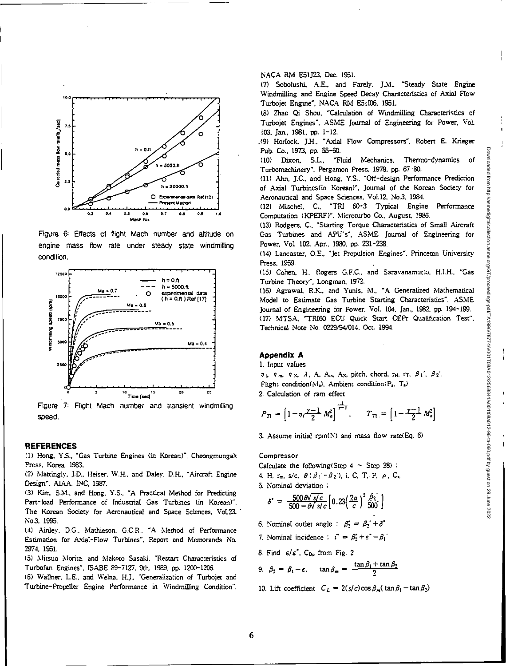

Figure 6: Effects of flight Mach number and altitude on engine mass flow rate under steady state windmilling condition.



Figure 7: Flight Mach number and transient windmilling speed.

#### **REFERENCES**

(1) Hong, Y.S., "Gas Turbine Engines (in Korean)", Cheongmungak Press, Korea. 1983.

(2) Mattingly, J.D., Heiser. W.H., and Daley, D.H., "Aircraft Engine Design", ALAA. INC, 1987.

(3) Kim, S.M., and Hong, Y.S., "A Practical Method for Predicting Part-load Performance of Industrial Gas Turbines (in Korean)". The Korean Society for Aeronautical and Space Sciences, Vol.23, No.3, 1995.

(4) Ainley, DC.. Nlathieson, G.C.R.. "A Method of Performance Estimation for Axial-Flow Turbines". Report and Memoranda No. 2974. 1951.

(5) Nlitsuo Morita. and Nlakoto Sasaki. "Restart Characteristics of Turbofan Engines", ISABE 89-7127, 9th. 1989. pp. 1200-1206.

(6) Wallner, L.E.. and Welna. H.J., "Generalization of Turbojet and Turbine-Propeller Engine Performance in Windmilling Condition", NACA RM E51J23. Dec. 1951.

(7) Sobolushi, A.E., and Farely. J.M.. "Steady State Engine Windrnilfing and Engine Speed Decay Characteristics of Axial Flow Turbojet Engine", NACA RM E51106, 1951.

(8) Zhao Qi Shou, "Calculation of Windmilling Characteristics of Turbojet Engines", ASME Journal of Engineering for Power. Vol. 103, Jan., 1981. pp. 1-12.

.(9) Horlock, J.H., "Axial Flow Compressors". Robert E. Krieger Pub. Co., 1973, pp. 55-60.

(10) Dixon. S.L., "Fluid Mechanics, Thermo-dynamics of Turbomachinery", Pergamon Press, 1978. pp. 67-80.

(11) Ahn, J.C., and Hong. Y.S.. "Off-design Performance Prediction of Axial Turbines(in Korean)", Journal of the Korean Society for Aeronautical and Space Sciences. Vol.12, No.3. 1984.

(12) Mischel, C.. "TRI 60-3 Typical Engine Performance Computation (KPERF)", Nlicroturbo Co., August. 1986.

(13) Rodgers. C., "Starting Torque Characteristics of Small Aircraft Gas Turbines and APU's", ASME Journal of Engineering for Power. Vol. 102. Apr.. 1980, pp. 231-238.

(14) Lancaster, O.E., "Jet Propulsion Engines". Princeton University Press. 1959.

(15) Cohen, H., Rogers C.F.C. and Saravanamutto. H.I.H.. "Gas Turbine Theory", Longman, 1972.

(16) Agrawal, R.K.. and Yunis. M., 'A Generalized Mathematical Model to Estimate Gas Turbine Starting Characteristics". ASME Journal of Engineering for Power. Vol. 104. Jan., 1982, pp. 194-199. (17) MTSA, "TRIGG ECU Quick Start CEPr Qualification Test", Technical Noce No. 0229/94/014. Oct. 1994.

### **Appendix A**

I. Input values

 $\eta_i$ ,  $\eta_m$ ,  $\eta_N$ ,  $\lambda$ , A, A<sub>in</sub>, A<sub>N</sub>, pitch, chord,  $r_H$ ,  $r_T$ ,  $\beta_1$ ',  $\beta_2$ ', Flight condition( $M_a$ ), Ambient condition( $P_a$ ,  $T_a$ ) 2. Calculation of ram effect

$$
P_{\text{t}} = \left[1 + \eta_i \frac{\gamma - 1}{2} M_a^2\right]^{\frac{1}{\gamma - 1}}, \qquad T_{\text{t}} = \left[1 + \frac{\gamma - 1}{2} M_a^2\right]
$$

3. Assume initial rpm(N) and mass flow rate(Eq. 6)

#### Compressor

Calculate the following (Step  $4 -$  Step  $28$ ):

4. H, rm, s/c. *8(81.-02),* i. C. T. P, *P.* Cz

5. Nominal deviation ;

$$
\delta^* = \frac{500 \Theta \sqrt{s/c}}{500 - \Theta \sqrt{s/c}} \left[ 0.23 \left( \frac{2a}{c} \right)^2 \frac{\beta_2}{500} \right]
$$

- 6. Nominal outlet angle :  $\beta_2^* = \beta_2' + \delta^*$
- 7. Nominal incidence  $\therefore i^* = \beta_2^* + \varepsilon^* \beta_1^*$
- 8. Find  $\varepsilon/\varepsilon$ , C<sub>Dp</sub> from Fig. 2

9. 
$$
\beta_2 = \beta_1 - \epsilon
$$
,  $\tan \beta_m = \frac{\tan \beta_1 + \tan \beta_2}{2}$ 

10. Lift coefficient  $C_L = 2(s/c) \cos \beta_m (\tan \beta_1 - \tan \beta_2)$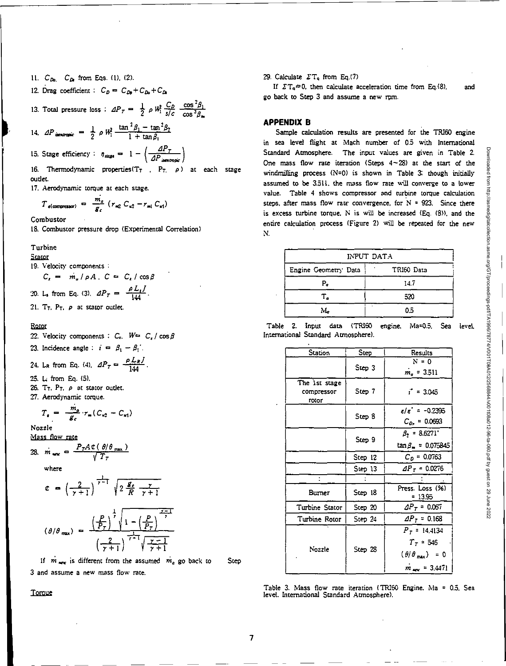- 11. C<sub>Da</sub>, C<sub>Da</sub> from Eqs. (1), (2).
- 12. Drag coefficient :  $C_D = C_{Dp} + C_{Dq} + C_D$

13. Total pressure loss : 
$$
\Delta P_T = \frac{1}{2} \rho W_1^2 \frac{C_D}{s/c} \frac{\cos^2 \beta_1}{\cos^3 \beta_m}
$$

14. 
$$
\Delta P_{\text{inertropic}} = \frac{1}{2} \rho W_1^2 \frac{\tan^2 \beta_1 - \tan^2 \beta_2}{1 + \tan \beta_1}
$$

15. Stage efficiency :  $\eta_{\text{stage}} = 1 - \left(\frac{dP_T}{dP_{\text{isentropic}}}\right)$ 

16. Thermodynamic properties(T<sub>T</sub>, P<sub>T</sub>,  $\rho$ ) at each stage outlet.

17. Aerodynamic torque at each stage.

$$
T_{e(\text{compression})} = \frac{m_a}{g_c} (r_{m2} C_{u2} - r_{m1} C_{u1})
$$

Combustor

18. Combustor pressure drop (Experimental Correlation)

#### Turbine

Stator

#### 19. Velocity components :

$$
C_x = m_u / \rho A. \quad C = C_x / \cos \beta
$$
  
20. L, from Eq. (3). 
$$
dP_T = \frac{\rho L_t I}{144}.
$$

21. Tr. P<sub>T</sub>,  $\rho$  at stator outlet.

#### Rotor

22. Velocity components :  $C_x$ .  $W = C_x / \cos \beta$ 

23. Incidence angle :  $i = \beta_1 - \beta_1'$ .

24. 
$$
L_R
$$
 from Eq. (4).  $\Delta P_T = \frac{\rho L_R J}{144}$ .

25. L. from Eq. (5).

- 26. T<sub>T</sub>. P<sub>T</sub>,  $\rho$  at stator outlet.
- 27. Aerodynamic torque.

$$
T_{\rm e} = -\frac{m_{\rm e}}{g_{\rm c}} \cdot r_{\rm m} (C_{\rm u2} - C_{\rm x1})
$$

Nozzle

Mass flow rate

28. 
$$
m_{\text{max}} = \frac{P_T A \mathcal{L}(\theta/\theta_{\text{max}})}{\sqrt{T_T}}
$$

where

$$
\mathcal{C} = \left(\frac{2}{\gamma + 1}\right)^{\frac{1}{\gamma - 1}} \sqrt{2 \frac{g_c}{R} \frac{\gamma}{\gamma + 1}}
$$

$$
(\theta/\theta_{\text{max}}) = \frac{\left(\frac{P}{P_T}\right)^{\frac{1}{\gamma}} \sqrt{1 - \left(\frac{P}{P_T}\right)^{\frac{\gamma-1}{\gamma}}}}{\left(\frac{2}{\gamma+1}\right)^{\frac{1}{\gamma-1}} \sqrt{\frac{\gamma-1}{\gamma+1}}}
$$

If  $m_{\text{max}}$  is different from the assumed  $m_a$  go back to Step 3 and assume a new mass flow rate.

**Toroue** 

# 29. Calculate  $\Sigma T_q$  from Eq.(7)

If  $\Sigma T_a \neq 0$ , then calculate acceleration time from Eq.(8), and go back to Step 3 and assume a new rpm.

### **APPENDIX B**

Sample calculation results are presented for the TRI60 engine in sea level flight at Mach number of 0.5 with International Standard Atmosphere. The input values are given in Table 2. One mass flow rate iteration (Steps 4-23) at the start of the windrnilling process (N=0) is shown in Table 3: though initially assumed to *be* 3.511, the mass flow rate will converge to a lower value. Table 4 shows compressor and turbine torque calculation steps, after mass flow rate convergence, for  $N = 923$ . Since there is excess turbine torque. N is will be increased (Eq. (8)), and the entire calculation process (Figure 2) will be repeated for the new **N.** 

| INPUT DATA           |            |  |  |
|----------------------|------------|--|--|
| Engine Geometry Data | TRI60 Data |  |  |
| Р.                   | 14.7       |  |  |
| т.                   | 520        |  |  |
| м.                   | 0.5        |  |  |

|  |  |                                     | Table 2. Input data (TRI60 engine, Ma=0.5. Sea level, |  |
|--|--|-------------------------------------|-------------------------------------------------------|--|
|  |  | International Standard Atmosphere). |                                                       |  |

| Station                              | Step    | Results                            |
|--------------------------------------|---------|------------------------------------|
|                                      |         | $N = 0$                            |
|                                      | Step 3  | $m_a = 3.511$                      |
| The ist stage<br>compressor<br>rotor | Step 7  | $i^* = 3.045$                      |
|                                      |         | $\epsilon/\epsilon$ = -0.2395      |
|                                      | Step 8  | $C_{D_r} = 0.0693$                 |
|                                      | Step 9  | $\beta_2 = 8.6271$                 |
|                                      |         | $tan \beta = 0.075845$             |
|                                      | Step 12 | $C_D = 0.0763$                     |
|                                      | Step 13 | $\Delta P_T = 0.0276$              |
|                                      |         |                                    |
| Burner                               | Step 18 | Press. Loss (%)<br>- 13.95         |
| Turbine Stator                       | Step 20 | $\Delta P_T = 0.067$               |
| Turbine Rotor                        | Step 24 | $\Delta P_T = 0.168$               |
|                                      | Step 28 | $P_T = 14.4134$                    |
|                                      |         | $T_{T}$ = 546                      |
| Nozzle                               |         | $(\theta/\theta_{\text{max}}) = 0$ |
|                                      |         | $m_{\text{env}} = 3.4471$          |

Table 3. Mass flow rate iteration (TR160 Engine. Ma = 0.5, Sea level. International Standard Atmosphere).

Downloaded from http://asmedigitalcollection.asme.org/GT/proceedings-pdf/TA1996/78774/V001T08A012/2568844/v001t08a012-96-ta-060.pdf by guest on 29 June 2022Jownloaded http://asmedigitalcollection.asme.org/GT/proceedings-pdf/TA1996/78774/V001T08A012/2568844/v001t08a012-96-ta-060.pdf by guest on 29 June 2022